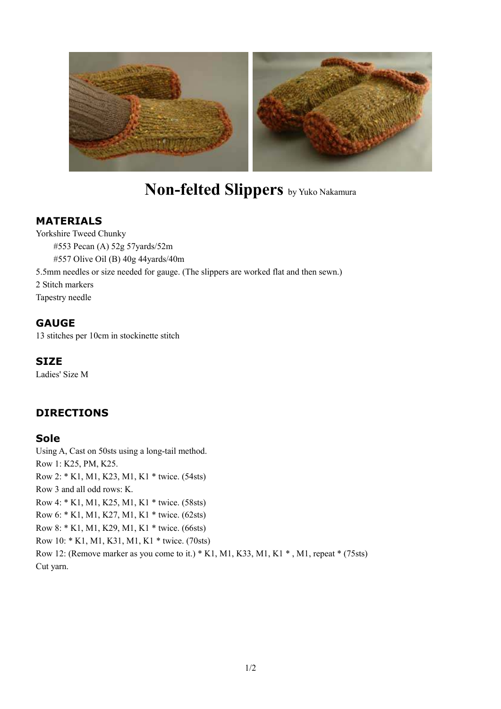

# **Non-felted Slippers** by Yuko Nakamura

#### **MATERIALS**

Yorkshire Tweed Chunky #553 Pecan (A) 52g 57yards/52m #557 Olive Oil (B) 40g 44yards/40m 5.5mm needles or size needed for gauge. (The slippers are worked flat and then sewn.) 2 Stitch markers Tapestry needle

#### **GAUGE**

13 stitches per 10cm in stockinette stitch

#### **SIZE**

Ladies' Size M

## **DIRECTIONS**

#### **Sole**

Using A, Cast on 50sts using a long-tail method. Row 1: K25, PM, K25. Row 2: \* K1, M1, K23, M1, K1 \* twice. (54sts) Row 3 and all odd rows: K. Row 4: \* K1, M1, K25, M1, K1 \* twice. (58sts) Row 6: \* K1, M1, K27, M1, K1 \* twice. (62sts) Row 8: \* K1, M1, K29, M1, K1 \* twice. (66sts) Row 10: \* K1, M1, K31, M1, K1 \* twice. (70sts) Row 12: (Remove marker as you come to it.) \* K1, M1, K33, M1, K1 \* , M1, repeat \* (75sts) Cut yarn.